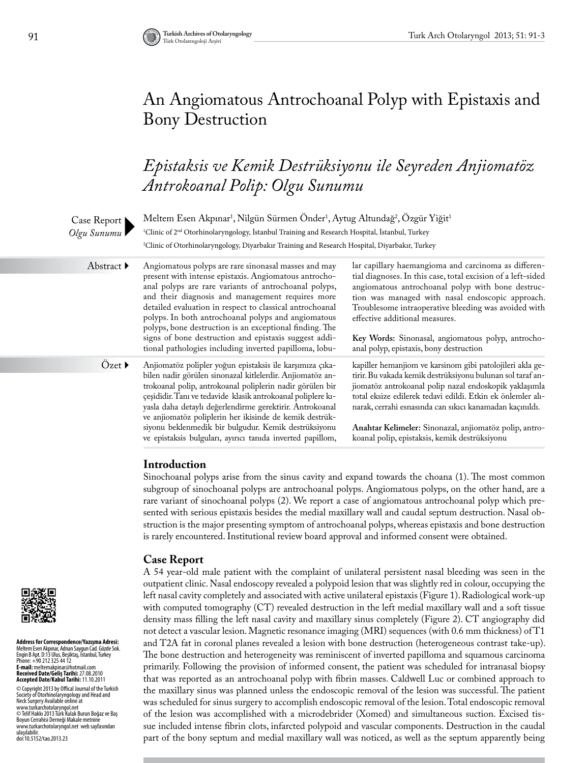# An Angiomatous Antrochoanal Polyp with Epistaxis and Bony Destruction

# *Epistaksis ve Kemik Destrüksiyonu ile Seyreden Anjiomatöz Antrokoanal Polip: Olgu Sunumu*



# **Introduction**

Sinochoanal polyps arise from the sinus cavity and expand towards the choana (1). The most common subgroup of sinochoanal polyps are antrochoanal polyps. Angiomatous polyps, on the other hand, are a rare variant of sinochoanal polyps (2). We report a case of angiomatous antrochoanal polyp which presented with serious epistaxis besides the medial maxillary wall and caudal septum destruction. Nasal obstruction is the major presenting symptom of antrochoanal polyps, whereas epistaxis and bone destruction is rarely encountered. Institutional review board approval and informed consent were obtained.

# **Case Report**

A 54 year-old male patient with the complaint of unilateral persistent nasal bleeding was seen in the outpatient clinic. Nasal endoscopy revealed a polypoid lesion that was slightly red in colour, occupying the left nasal cavity completely and associated with active unilateral epistaxis (Figure 1). Radiological work-up with computed tomography (CT) revealed destruction in the left medial maxillary wall and a soft tissue density mass filling the left nasal cavity and maxillary sinus completely (Figure 2). CT angiography did not detect a vascular lesion. Magnetic resonance imaging (MRI) sequences (with 0.6 mm thickness) of T1 and T2A fat in coronal planes revealed a lesion with bone destruction (heterogeneous contrast take-up). The bone destruction and heterogeneity was reminiscent of inverted papilloma and squamous carcinoma primarily. Following the provision of informed consent, the patient was scheduled for intranasal biopsy that was reported as an antrochoanal polyp with fibrin masses. Caldwell Luc or combined approach to the maxillary sinus was planned unless the endoscopic removal of the lesion was successful. The patient was scheduled for sinus surgery to accomplish endoscopic removal of the lesion. Total endoscopic removal of the lesion was accomplished with a microdebrider (Xomed) and simultaneous suction. Excised tissue included intense fibrin clots, infarcted polypoid and vascular components. Destruction in the caudal part of the bony septum and medial maxillary wall was noticed, as well as the septum apparently being



**Address for Correspondence/Yazışma Adresi:**  Meltem Esen Akpınar, Adnan Saygun Cad. Gözde Sok. Engin B Apt. D:13 Ulus, Beşiktaş, İstanbul, Turkey Phone: +90 212 325 44 12<br>**E-mail:** meltemakpinar@hotmail.com **Received Date/Geliş Tarihi:** 27.08.2010 **Accepted Date/Kabul Tarihi:** 11.10.2011 © Copyright 2013 by Offical Journal of the Turkish Society of Otorhinolaryngology and Head and Neck Surgery Available online at www.turkarchotolaryngol.net © Telif Hakkı 2013 Türk Kulak Burun Boğaz ve Baş Boyun Cerrahisi Derneği Makale metnine www.turkarchotolaryngol.net web sayfasından ulaşılabilir. doi:10.5152/tao.2013.23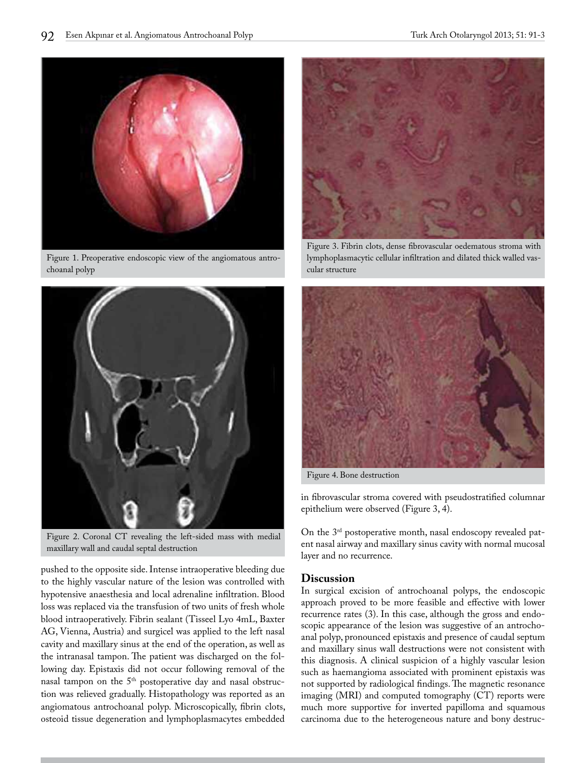

Figure 1. Preoperative endoscopic view of the angiomatous antrochoanal polyp



Figure 2. Coronal CT revealing the left-sided mass with medial maxillary wall and caudal septal destruction

pushed to the opposite side. Intense intraoperative bleeding due to the highly vascular nature of the lesion was controlled with hypotensive anaesthesia and local adrenaline infiltration. Blood loss was replaced via the transfusion of two units of fresh whole blood intraoperatively. Fibrin sealant (Tisseel Lyo 4mL, Baxter AG, Vienna, Austria) and surgicel was applied to the left nasal cavity and maxillary sinus at the end of the operation, as well as the intranasal tampon. The patient was discharged on the following day. Epistaxis did not occur following removal of the nasal tampon on the 5<sup>th</sup> postoperative day and nasal obstruction was relieved gradually. Histopathology was reported as an angiomatous antrochoanal polyp. Microscopically, fibrin clots, osteoid tissue degeneration and lymphoplasmacytes embedded



Figure 3. Fibrin clots, dense fibrovascular oedematous stroma with lymphoplasmacytic cellular infiltration and dilated thick walled vascular structure



Figure 4. Bone destruction

in fibrovascular stroma covered with pseudostratified columnar epithelium were observed (Figure 3, 4).

On the 3rd postoperative month, nasal endoscopy revealed patent nasal airway and maxillary sinus cavity with normal mucosal layer and no recurrence.

### **Discussion**

In surgical excision of antrochoanal polyps, the endoscopic approach proved to be more feasible and effective with lower recurrence rates (3). In this case, although the gross and endoscopic appearance of the lesion was suggestive of an antrochoanal polyp, pronounced epistaxis and presence of caudal septum and maxillary sinus wall destructions were not consistent with this diagnosis. A clinical suspicion of a highly vascular lesion such as haemangioma associated with prominent epistaxis was not supported by radiological findings. The magnetic resonance imaging (MRI) and computed tomography (CT) reports were much more supportive for inverted papilloma and squamous carcinoma due to the heterogeneous nature and bony destruc